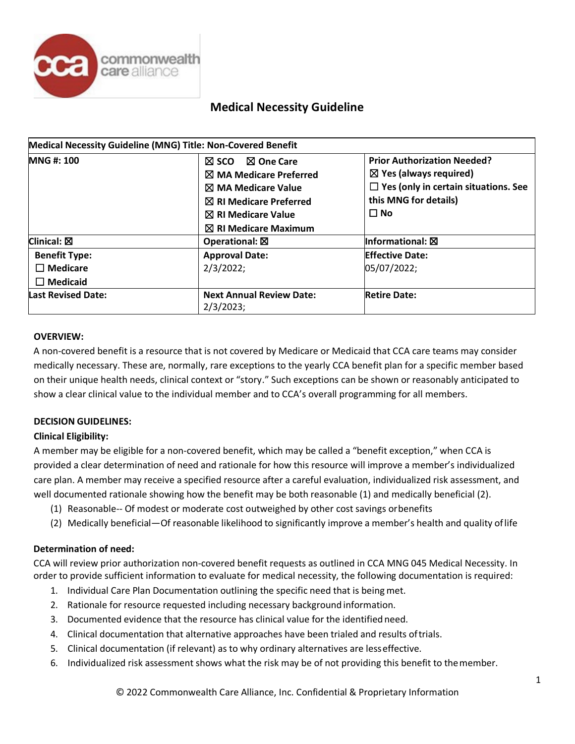

| Medical Necessity Guideline (MNG) Title: Non-Covered Benefit |                                                                                                                                                                                                                        |                                                                                                                                                              |  |  |
|--------------------------------------------------------------|------------------------------------------------------------------------------------------------------------------------------------------------------------------------------------------------------------------------|--------------------------------------------------------------------------------------------------------------------------------------------------------------|--|--|
| <b>MNG#: 100</b>                                             | $\boxtimes$ One Care<br>$\boxtimes$ sco<br>$\boxtimes$ MA Medicare Preferred<br>$\boxtimes$ MA Medicare Value<br>$\boxtimes$ RI Medicare Preferred<br>$\boxtimes$ RI Medicare Value<br>$\boxtimes$ RI Medicare Maximum | <b>Prior Authorization Needed?</b><br>$\boxtimes$ Yes (always required)<br>$\Box$ Yes (only in certain situations. See<br>this MNG for details)<br>$\Box$ No |  |  |
| Clinical: $\boxtimes$                                        | Operational: $\boxtimes$                                                                                                                                                                                               | Informational: $\boxtimes$                                                                                                                                   |  |  |
| <b>Benefit Type:</b><br>$\Box$ Medicare<br>$\Box$ Medicaid   | <b>Approval Date:</b><br>2/3/2022;                                                                                                                                                                                     | <b>Effective Date:</b><br>05/07/2022;                                                                                                                        |  |  |
| <b>Last Revised Date:</b>                                    | <b>Next Annual Review Date:</b><br>2/3/2023;                                                                                                                                                                           | <b>Retire Date:</b>                                                                                                                                          |  |  |

#### **OVERVIEW:**

A non-covered benefit is a resource that is not covered by Medicare or Medicaid that CCA care teams may consider medically necessary. These are, normally, rare exceptions to the yearly CCA benefit plan for a specific member based on their unique health needs, clinical context or "story." Such exceptions can be shown or reasonably anticipated to show a clear clinical value to the individual member and to CCA's overall programming for all members.

#### **DECISION GUIDELINES:**

#### **Clinical Eligibility:**

A member may be eligible for a non-covered benefit, which may be called a "benefit exception," when CCA is provided a clear determination of need and rationale for how this resource will improve a member's individualized care plan. A member may receive a specified resource after a careful evaluation, individualized risk assessment, and well documented rationale showing how the benefit may be both reasonable (1) and medically beneficial (2).

- (1) Reasonable-- Of modest or moderate cost outweighed by other cost savings orbenefits
- (2) Medically beneficial—Of reasonable likelihood to significantly improve a member's health and quality oflife

#### **Determination of need:**

CCA will review prior authorization non-covered benefit requests as outlined in CCA MNG 045 Medical Necessity. In order to provide sufficient information to evaluate for medical necessity, the following documentation is required:

- 1. Individual Care Plan Documentation outlining the specific need that is being met.
- 2. Rationale for resource requested including necessary backgroundinformation.
- 3. Documented evidence that the resource has clinical value for the identifiedneed.
- 4. Clinical documentation that alternative approaches have been trialed and results oftrials.
- 5. Clinical documentation (if relevant) as to why ordinary alternatives are lesseffective.
- 6. Individualized risk assessment shows what the risk may be of not providing this benefit to themember.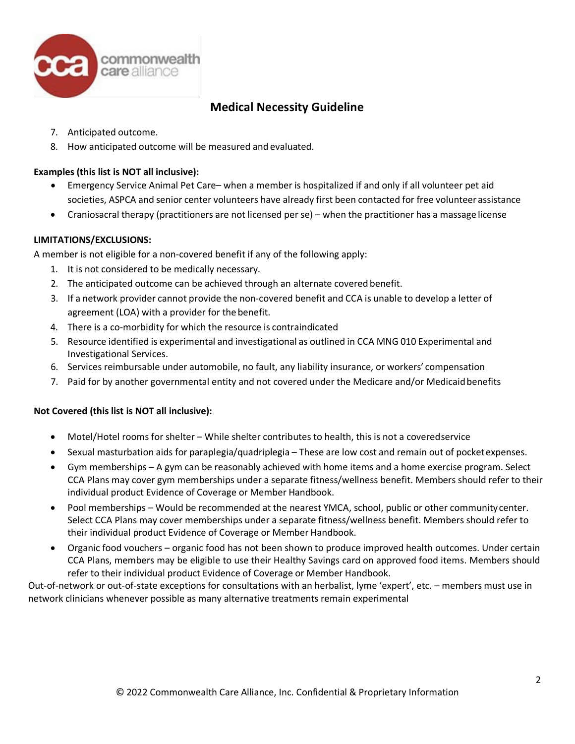

- 7. Anticipated outcome.
- 8. How anticipated outcome will be measured and evaluated.

### **Examples (this list is NOT all inclusive):**

- Emergency Service Animal Pet Care– when a member is hospitalized if and only if all volunteer pet aid societies, ASPCA and senior center volunteers have already first been contacted for free volunteer assistance
- Craniosacral therapy (practitioners are not licensed perse) when the practitioner has a massage license

### **LIMITATIONS/EXCLUSIONS:**

A member is not eligible for a non-covered benefit if any of the following apply:

- 1. It is not considered to be medically necessary.
- 2. The anticipated outcome can be achieved through an alternate covered benefit.
- 3. If a network provider cannot provide the non-covered benefit and CCA is unable to develop a letter of agreement (LOA) with a provider for the benefit.
- 4. There is a co-morbidity for which the resource is contraindicated
- 5. Resource identified is experimental and investigational as outlined in CCA MNG 010 Experimental and Investigational Services.
- 6. Services reimbursable under automobile, no fault, any liability insurance, or workers' compensation
- 7. Paid for by another governmental entity and not covered under the Medicare and/or Medicaidbenefits

### **Not Covered (this list is NOT all inclusive):**

- Motel/Hotel rooms for shelter While shelter contributes to health, this is not a coveredservice
- Sexual masturbation aids for paraplegia/quadriplegia These are low cost and remain out of pocketexpenses.
- Gym memberships A gym can be reasonably achieved with home items and a home exercise program. Select CCA Plans may cover gym memberships under a separate fitness/wellness benefit. Members should refer to their individual product Evidence of Coverage or Member Handbook.
- Pool memberships Would be recommended at the nearest YMCA, school, public or other communitycenter. Select CCA Plans may cover memberships under a separate fitness/wellness benefit. Members should refer to their individual product Evidence of Coverage or Member Handbook.
- Organic food vouchers organic food has not been shown to produce improved health outcomes. Under certain CCA Plans, members may be eligible to use their Healthy Savings card on approved food items. Members should refer to their individual product Evidence of Coverage or Member Handbook.

Out-of-network or out-of-state exceptions for consultations with an herbalist, lyme 'expert', etc. – members must use in network clinicians whenever possible as many alternative treatments remain experimental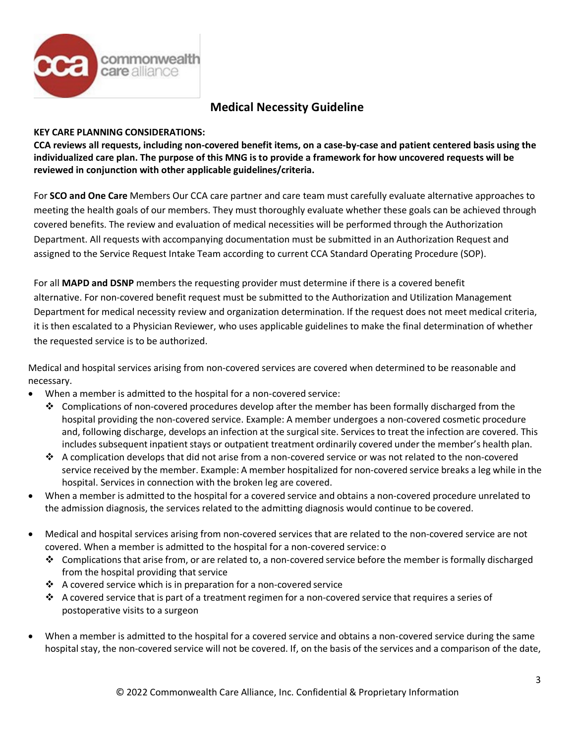

### **KEY CARE PLANNING CONSIDERATIONS:**

**CCA reviews all requests, including non-covered benefit items, on a case-by-case and patient centered basis using the individualized care plan. The purpose of this MNG is to provide a framework for how uncovered requests will be reviewed in conjunction with other applicable guidelines/criteria.**

For **SCO and One Care** Members Our CCA care partner and care team must carefully evaluate alternative approaches to meeting the health goals of our members. They must thoroughly evaluate whether these goals can be achieved through covered benefits. The review and evaluation of medical necessities will be performed through the Authorization Department. All requests with accompanying documentation must be submitted in an Authorization Request and assigned to the Service Request Intake Team according to current CCA Standard Operating Procedure (SOP).

For all **MAPD and DSNP** members the requesting provider must determine if there is a covered benefit alternative. For non-covered benefit request must be submitted to the Authorization and Utilization Management Department for medical necessity review and organization determination. If the request does not meet medical criteria, it is then escalated to a Physician Reviewer, who uses applicable guidelines to make the final determination of whether the requested service is to be authorized.

Medical and hospital services arising from non-covered services are covered when determined to be reasonable and necessary.

- When a member is admitted to the hospital for a non-covered service:
	- $\clubsuit$  Complications of non-covered procedures develop after the member has been formally discharged from the hospital providing the non-covered service. Example: A member undergoes a non-covered cosmetic procedure and, following discharge, develops an infection at the surgical site. Services to treat the infection are covered. This includes subsequent inpatient stays or outpatient treatment ordinarily covered under the member's health plan.
	- A complication develops that did not arise from a non-covered service or was not related to the non-covered service received by the member. Example: A member hospitalized for non-covered service breaks a leg while in the hospital. Services in connection with the broken leg are covered.
- When a member is admitted to the hospital for a covered service and obtains a non-covered procedure unrelated to the admission diagnosis, the services related to the admitting diagnosis would continue to be covered.
- Medical and hospital services arising from non-covered services that are related to the non-covered service are not covered. When a member is admitted to the hospital for a non-covered service: o
	- $\bullet$  Complications that arise from, or are related to, a non-covered service before the member is formally discharged from the hospital providing that service
	- $\cdot$  A covered service which is in preparation for a non-covered service
	- $\clubsuit$  A covered service that is part of a treatment regimen for a non-covered service that requires a series of postoperative visits to a surgeon
- When a member is admitted to the hospital for a covered service and obtains a non-covered service during the same hospital stay, the non-covered service will not be covered. If, on the basis of the services and a comparison of the date,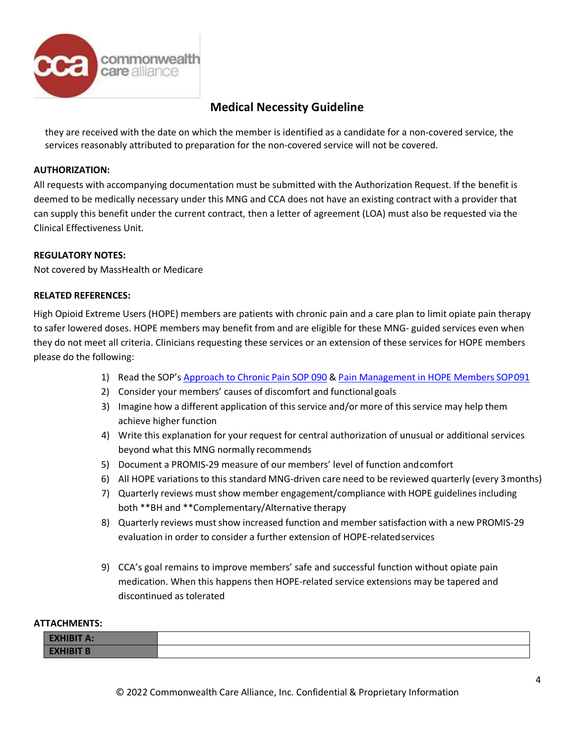

they are received with the date on which the member is identified as a candidate for a non-covered service, the services reasonably attributed to preparation for the non-covered service will not be covered.

### **AUTHORIZATION:**

All requests with accompanying documentation must be submitted with the Authorization Request. If the benefit is deemed to be medically necessary under this MNG and CCA does not have an existing contract with a provider that can supply this benefit under the current contract, then a letter of agreement (LOA) must also be requested via the Clinical Effectiveness Unit.

### **REGULATORY NOTES:**

Not covered by MassHealth or Medicare

#### **RELATED REFERENCES:**

High Opioid Extreme Users (HOPE) members are patients with chronic pain and a care plan to limit opiate pain therapy to safer lowered doses. HOPE members may benefit from and are eligible for these MNG- guided services even when they do not meet all criteria. Clinicians requesting these services or an extension of these services for HOPE members please do the following:

- 1) Read the SOP's [Approach](http://commonground.commonwealthcare.org/resources/ccakh/Shared%20Documents/Standards%20of%20Practice%20(SOPs)/Approach%20to%20Chronic%20Pain%20SOP%20090.pdf) to Chronic Pain SOP 090 & Pain [Management](http://commonground.commonwealthcare.org/resources/ccakh/Shared%20Documents/Standards%20of%20Practice%20(SOPs)/Pain%20Management%20in%20HOPE%20(High%20Opiate%20Patient%20Engagement)%20Members%20SOP%20091.pdf) in HOPE Members SOP091
- 2) Consider your members' causes of discomfort and functional goals
- 3) Imagine how a different application of this service and/or more of this service may help them achieve higher function
- 4) Write this explanation for your request for central authorization of unusual or additional services beyond what this MNG normally recommends
- 5) Document a PROMIS-29 measure of our members' level of function andcomfort
- 6) All HOPE variations to this standard MNG-driven care need to be reviewed quarterly (every 3months)
- 7) Quarterly reviews mustshow member engagement/compliance with HOPE guidelines including both \*\*BH and \*\*Complementary/Alternative therapy
- 8) Quarterly reviews must show increased function and member satisfaction with a new PROMIS-29 evaluation in order to consider a further extension of HOPE-relatedservices
- 9) CCA's goal remains to improve members' safe and successful function without opiate pain medication. When this happens then HOPE-related service extensions may be tapered and discontinued as tolerated

#### **ATTACHMENTS:**

| 41 F<br><b>Service</b>  |  |
|-------------------------|--|
| 8IT<br><u>LAINDIN D</u> |  |